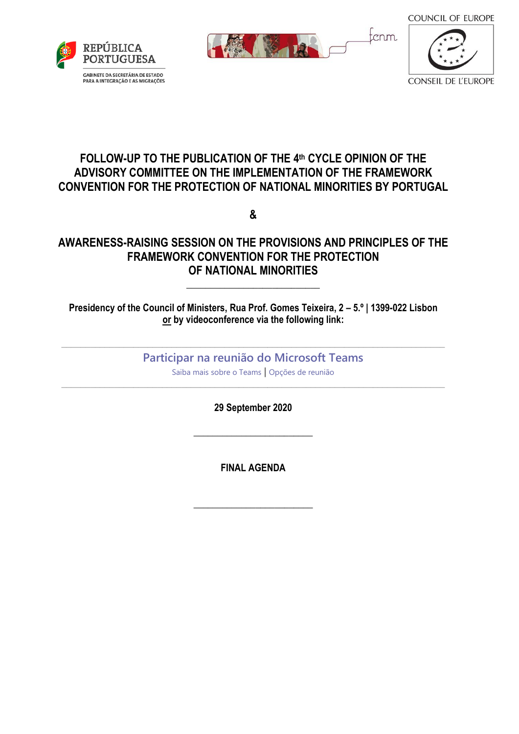**COUNCIL OF EUROPE** 







### **FOLLOW-UP TO THE PUBLICATION OF THE 4 th CYCLE OPINION OF THE ADVISORY COMMITTEE ON THE IMPLEMENTATION OF THE FRAMEWORK CONVENTION FOR THE PROTECTION OF NATIONAL MINORITIES BY PORTUGAL**

**&**

## **AWARENESS-RAISING SESSION ON THE PROVISIONS AND PRINCIPLES OF THE FRAMEWORK CONVENTION FOR THE PROTECTION OF NATIONAL MINORITIES**

#### **Presidency of the Council of Ministers, Rua Prof. Gomes Teixeira, 2 – 5.º | 1399-022 Lisbon or by videoconference via the following link:**

\_\_\_\_\_\_\_\_\_\_\_\_\_\_\_\_\_\_\_\_\_\_\_\_\_\_\_\_

## \_\_\_\_\_\_\_\_\_\_\_\_\_\_\_\_\_\_\_\_\_\_\_\_\_\_\_\_\_\_\_\_\_\_\_\_\_\_\_\_\_\_\_\_\_\_\_\_\_\_\_\_\_\_\_\_\_\_\_\_\_\_\_\_\_\_\_\_\_\_\_\_\_\_\_\_\_\_\_\_ **[Participar na reunião do Microsoft Teams](https://teams.microsoft.com/l/meetup-join/19%3ameeting_MjUyZDBjMzEtMTk5Ny00ZDRjLTgyN2UtYWE0YTYxNzNmOWE1%40thread.v2/0?context=%7b%22Tid%22%3a%220ef24f37-811a-422e-ad7a-ea9c3840d49d%22%2c%22Oid%22%3a%22b98be8dd-3936-4952-8d3d-26ad82e83cac%22%7d)**

[Saiba mais sobre o Teams](https://aka.ms/JoinTeamsMeeting) | [Opções de reunião](https://teams.microsoft.com/meetingOptions/?organizerId=b98be8dd-3936-4952-8d3d-26ad82e83cac&tenantId=0ef24f37-811a-422e-ad7a-ea9c3840d49d&threadId=19_meeting_MjUyZDBjMzEtMTk5Ny00ZDRjLTgyN2UtYWE0YTYxNzNmOWE1@thread.v2&messageId=0&language=pt-PT) \_\_\_\_\_\_\_\_\_\_\_\_\_\_\_\_\_\_\_\_\_\_\_\_\_\_\_\_\_\_\_\_\_\_\_\_\_\_\_\_\_\_\_\_\_\_\_\_\_\_\_\_\_\_\_\_\_\_\_\_\_\_\_\_\_\_\_\_\_\_\_\_\_\_\_\_\_\_\_\_

**29 September 2020**

**\_\_\_\_\_\_\_\_\_\_\_\_\_\_\_\_\_\_\_\_\_\_\_\_\_**

**FINAL AGENDA**

**\_\_\_\_\_\_\_\_\_\_\_\_\_\_\_\_\_\_\_\_\_\_\_\_\_**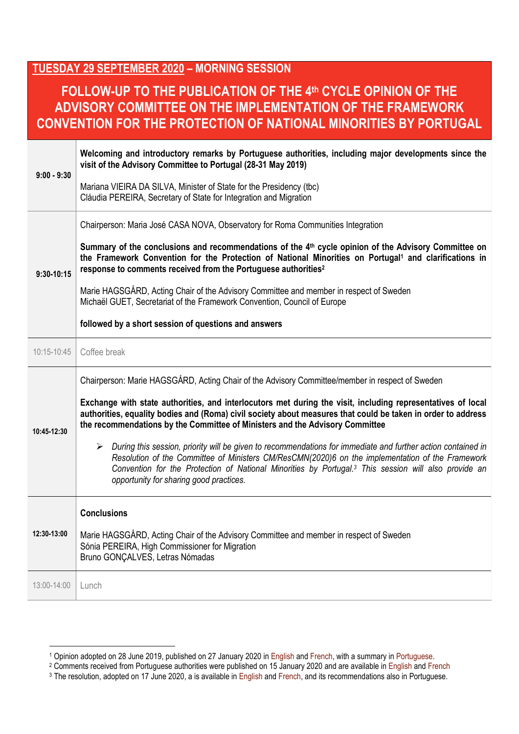### **TUESDAY 29 SEPTEMBER 2020 – MORNING SESSION**

# **FOLLOW-UP TO THE PUBLICATION OF THE 4 th CYCLE OPINION OF THE ADVISORY COMMITTEE ON THE IMPLEMENTATION OF THE FRAMEWORK CONVENTION FOR THE PROTECTION OF NATIONAL MINORITIES BY PORTUGAL**

| $9:00 - 9:30$ | Welcoming and introductory remarks by Portuguese authorities, including major developments since the<br>visit of the Advisory Committee to Portugal (28-31 May 2019)<br>Mariana VIEIRA DA SILVA, Minister of State for the Presidency (tbc)<br>Cláudia PEREIRA, Secretary of State for Integration and Migration                                                                                                                                                                                                                                                                                                                                                                                                                                                                                    |
|---------------|-----------------------------------------------------------------------------------------------------------------------------------------------------------------------------------------------------------------------------------------------------------------------------------------------------------------------------------------------------------------------------------------------------------------------------------------------------------------------------------------------------------------------------------------------------------------------------------------------------------------------------------------------------------------------------------------------------------------------------------------------------------------------------------------------------|
| $9:30-10:15$  | Chairperson: Maria José CASA NOVA, Observatory for Roma Communities Integration<br>Summary of the conclusions and recommendations of the 4th cycle opinion of the Advisory Committee on<br>the Framework Convention for the Protection of National Minorities on Portugal <sup>1</sup> and clarifications in<br>response to comments received from the Portuguese authorities <sup>2</sup><br>Marie HAGSGÅRD, Acting Chair of the Advisory Committee and member in respect of Sweden<br>Michaël GUET, Secretariat of the Framework Convention, Council of Europe<br>followed by a short session of questions and answers                                                                                                                                                                            |
| 10:15-10:45   | Coffee break                                                                                                                                                                                                                                                                                                                                                                                                                                                                                                                                                                                                                                                                                                                                                                                        |
| 10:45-12:30   | Chairperson: Marie HAGSGÅRD, Acting Chair of the Advisory Committee/member in respect of Sweden<br>Exchange with state authorities, and interlocutors met during the visit, including representatives of local<br>authorities, equality bodies and (Roma) civil society about measures that could be taken in order to address<br>the recommendations by the Committee of Ministers and the Advisory Committee<br>> During this session, priority will be given to recommendations for immediate and further action contained in<br>Resolution of the Committee of Ministers CM/ResCMN(2020)6 on the implementation of the Framework<br>Convention for the Protection of National Minorities by Portugal. <sup>3</sup> This session will also provide an<br>opportunity for sharing good practices. |
| 12:30-13:00   | <b>Conclusions</b><br>Marie HAGSGÅRD, Acting Chair of the Advisory Committee and member in respect of Sweden<br>Sónia PEREIRA, High Commissioner for Migration<br>Bruno GONCALVES, Letras Nómadas                                                                                                                                                                                                                                                                                                                                                                                                                                                                                                                                                                                                   |
| 13:00-14:00   | Lunch                                                                                                                                                                                                                                                                                                                                                                                                                                                                                                                                                                                                                                                                                                                                                                                               |

<u>.</u>

<sup>1</sup> Opinion adopted on 28 June 2019, published on 27 January 2020 in [English](https://rm.coe.int/4th-op-portugal-en/1680998662) and [French,](https://rm.coe.int/4th-op-portugal-fr/1680998663) with a summary in [Portuguese.](https://rm.coe.int/4th-op-portugal-po/16809ed0ba)

 $2$  Comments received from Portuguese authorities were published on 15 January 2020 and are available in [English](https://rm.coe.int/4th-com-portugal-en/1680999290) and [French](https://rm.coe.int/4th-com-portugal-fr/16809f1250)

<sup>&</sup>lt;sup>3</sup> The resolution, adopted on 17 June 2020, a is available in [English](https://search.coe.int/cm/pages/result_details.aspx?objectid=09000016809ebbb3) and [French,](https://search.coe.int/cm/pages/result_details.aspx?ObjectId=09000016809ebbb0) and its recommendations also in Portuguese.